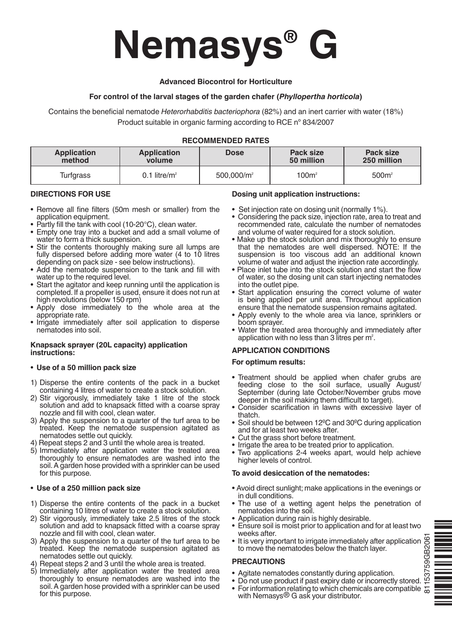# **Nemasys® G**

# **Advanced Biocontrol for Horticulture**

# **For control of the larval stages of the garden chafer (***Phyllopertha horticola***)**

Contains the beneficial nematode *Heterorhabditis bacteriophora* (82%) and an inert carrier with water (18%) Product suitable in organic farming according to RCE nº 834/2007

# **RECOMMENDED RATES**

| Application | Application      | <b>Dose</b>            | Pack size  | Pack size         |
|-------------|------------------|------------------------|------------|-------------------|
| method      | volume           |                        | 50 million | 250 million       |
| Turfgrass   | 0.1 litre/ $m^2$ | 500.000/m <sup>2</sup> | $100m^2$   | 500m <sup>2</sup> |

# **DIRECTIONS FOR USE**

- • Remove all fine filters (50m mesh or smaller) from the application equipment.
- Partly fill the tank with cool (10-20°C), clean water.
- Empty one tray into a bucket and add a small volume of water to form a thick suspension.
- Stir the contents thoroughly making sure all lumps are fully dispersed before adding more water (4 to 10 litres depending on pack size - see below instructions).
- Add the nematode suspension to the tank and fill with water up to the required level.
- Start the agitator and keep running until the application is completed. If a propeller is used, ensure it does not run at high revolutions (below 150 rpm)
- Apply dose immediately to the whole area at the appropriate rate.
- Irrigate immediately after soil application to disperse nematodes into soil.

#### **Knapsack sprayer (20L capacity) application instructions:**

# **• Use of a 50 million pack size**

- 1) Disperse the entire contents of the pack in a bucket containing 4 litres of water to create a stock solution.
- 2) Stir vigorously, immediately take 1 litre of the stock solution and add to knapsack fitted with a coarse spray nozzle and fill with cool, clean water.
- 3) Apply the suspension to a quarter of the turf area to be treated. Keep the nematode suspension agitated as nematodes settle out quickly.
- 4) Repeat steps 2 and 3 until the whole area is treated.<br>5) Immediately after application water the treated area
- thoroughly to ensure nematodes are washed into the soil.A garden hose provided with a sprinkler can be used for this purpose.

#### **• Use of a 250 million pack size**

- 1) Disperse the entire contents of the pack in a bucket containing 10 litres of water to create a stock solution.
- 2) Stir vigorously, immediately take 2.5 litres of the stock solution and add to knapsack fitted with a coarse spray nozzle and fill with cool, clean water.
- 3) Apply the suspension to a quarter of the turf area to be treated. Keep the nematode suspension agitated as nematodes settle out quickly.
- 4) Repeat steps 2 and 3 until the whole area is treated.<br>5) Immediately after application water the treated area
- thoroughly to ensure nematodes are washed into the soil.A garden hose provided with a sprinkler can be used for this purpose.

# **Dosing unit application instructions:**

- Set injection rate on dosing unit (normally 1%).
- Considering the pack size, injection rate, area to treat and recommended rate, calculate the number of nematodes and volume of water required for a stock solution.
- Make up the stock solution and mix thoroughly to ensure that the nematodes are well dispersed. NOTE: If the suspension is too viscous add an additional known volume of water and adjust the injection rate accordingly.
- Place inlet tube into the stock solution and start the flow of water, so the dosing unit can start injecting nematodes into the outlet pipe.
- Start application ensuring the correct volume of water is being applied per unit area. Throughout application ensure that the nematode suspension remains agitated.
- Apply evenly to the whole area via lance, sprinklers or boom sprayer.
- Water the treated area thoroughly and immediately after application with no less than 3 litres per  $m<sup>2</sup>$ .

#### **APPLICATION CONDITIONS**

#### **For optimum results:**

- • Treatment should be applied when chafer grubs are feeding close to the soil surface, usually August/ September (during late October/November grubs move deeper in the soil making them difficult to target).
- • Consider scarification in lawns with excessive layer of thatch.
- Soil should be between 12<sup>o</sup>C and 30<sup>o</sup>C during application and for at least two weeks after.
- 
- Cut the grass short before treatment.<br>• Irrigate the area to be treated prior to application.
- Two applications 2-4 weeks apart, would help achieve higher levels of control.

#### **To avoid desiccation of the nematodes:**

- Avoid direct sunlight; make applications in the evenings or in dull conditions.
- The use of a wetting agent helps the penetration of nematodes into the soil.
- Application during rain is highly desirable.
- Ensure soil is moist prior to application and for at least two weeks after.
- 81153759GB2061• It is very important to irrigate immediately after application 81153759GB206 to move the nematodes below the thatch layer.

#### **PRECAUTIONS**

- • Agitate nematodes constantly during application.
- Do not use product if past expiry date or incorrectly stored.
- For information relating to which chemicals are compatible with Nemasys<sup>®</sup> G ask your distributor.